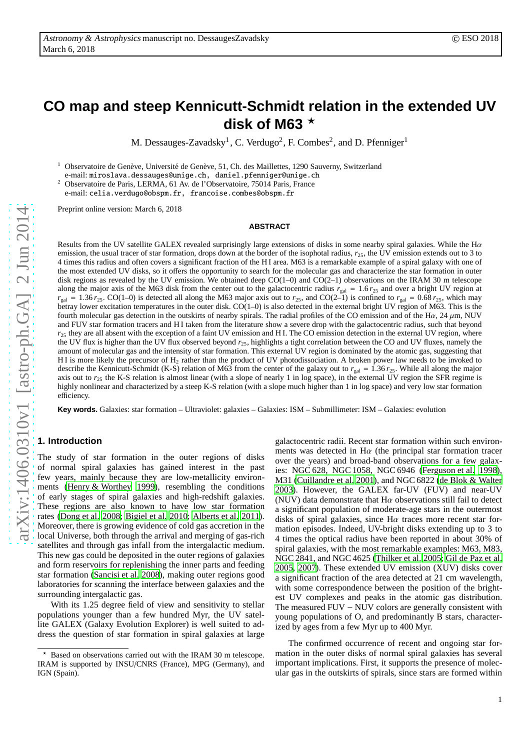# **CO map and steep Kennicutt-Schmidt relation in the extended UV** disk of M63 $\star$

M. Dessauges-Zavadsky<sup>1</sup>, C. Verdugo<sup>2</sup>, F. Combes<sup>2</sup>, and D. Pfenniger<sup>1</sup>

<sup>1</sup> Observatoire de Genève, Université de Genève, 51, Ch. des Maillettes, 1290 Sauverny, Switzerland

e-mail: miroslava.dessauges@unige.ch, daniel.pfenniger@unige.ch

<sup>2</sup> Observatoire de Paris, LERMA, 61 Av. de l'Observatoire, 75014 Paris, France

e-mail: celia.verdugo@obspm.fr, francoise.combes@obspm.fr

Preprint online version: March 6, 2018

#### **ABSTRACT**

Results from the UV satellite GALEX revealed surprisingly large extensions of disks in some nearby spiral galaxies. While the H $\alpha$ emission, the usual tracer of star formation, drops down at the border of the isophotal radius,  $r_{25}$ , the UV emission extends out to 3 to 4 times this radius and often covers a significant fraction of the H I area. M63 is a remarkable example of a spiral galaxy with one of the most extended UV disks, so it offers the opportunity to search for the molecular gas and characterize the star formation in outer disk regions as revealed by the UV emission. We obtained deep  $CO(1-0)$  and  $CO(2-1)$  observations on the IRAM 30 m telescope along the major axis of the M63 disk from the center out to the galactocentric radius  $r_{\text{gal}} = 1.6 r_{25}$  and over a bright UV region at  $r_{\text{gal}} = 1.36 r_{25}$ . CO(1–0) is detected all along the M63 major axis out to  $r_{25}$ , and CO(2–1) is confined to  $r_{\text{gal}} = 0.68 r_{25}$ , which may betray lower excitation temperatures in the outer disk. CO(1–0) is also detected in the external bright UV region of M63. This is the fourth molecular gas detection in the outskirts of nearby spirals. The radial profiles of the CO emission and of the H $\alpha$ , 24  $\mu$ m, NUV and FUV star formation tracers and H I taken from the literature show a severe drop with the galactocentric radius, such that beyond *r*<sub>25</sub> they are all absent with the exception of a faint UV emission and H I. The CO emission detection in the external UV region, where the UV flux is higher than the UV flux observed beyond *r*25, highlights a tight correlation between the CO and UV fluxes, namely the amount of molecular gas and the intensity of star formation. This external UV region is dominated by the atomic gas, suggesting that H I is more likely the precursor of H<sup>2</sup> rather than the product of UV photodissociation. A broken power law needs to be invoked to describe the Kennicutt-Schmidt (K-S) relation of M63 from the center of the galaxy out to  $r_{gal} = 1.36 r_{25}$ . While all along the major axis out to  $r_{25}$  the K-S relation is almost linear (with a slope of nearly 1 in log space), in the external UV region the SFR regime is highly nonlinear and characterized by a steep K-S relation (with a slope much higher than 1 in log space) and very low star formation efficiency.

**Key words.** Galaxies: star formation – Ultraviolet: galaxies – Galaxies: ISM – Submillimeter: ISM – Galaxies: evolution

## **1. Introduction**

The study of star formation in the outer regions of disks of normal spiral galaxies has gained interest in the past few years, mainly because they are low-metallicity environments [\(Henry & Worthey 1999\)](#page-11-0), resembling the conditions of early stages of spiral galaxies and high-redshift galaxies. These regions are also known to have low star formation rates [\(Dong et al. 2008;](#page-11-1) [Bigiel et al. 2010;](#page-11-2) [Alberts et al. 2011](#page-11-3)). Moreover, there is growing evidence of cold gas accretion in the local Universe, both through the arrival and merging of gas-rich satellites and through gas infall from the intergalactic medium. This new gas could be deposited in the outer regions of galaxies and form reservoirs for replenishing the inner parts and feeding star formation [\(Sancisi et al. 2008](#page-11-4)), making outer regions good laboratories for scanning the interface between galaxies and the surrounding intergalactic gas.

With its 1.25 degree field of view and sensitivity to stellar populations younger than a few hundred Myr, the UV satellite GALEX (Galaxy Evolution Explorer) is well suited to address the question of star formation in spiral galaxies at large galactocentric radii. Recent star formation within such environments was detected in H $\alpha$  (the principal star formation tracer over the years) and broad-band observations for a few galaxies: NGC 628, NGC 1058, NGC 6946 [\(Ferguson et al. 1998\)](#page-11-5), M31 [\(Cuillandre et al. 2001\)](#page-11-6), and NGC 6822 [\(de Blok & Walter](#page-11-7) [2003\)](#page-11-7). However, the GALEX far-UV (FUV) and near-UV (NUV) data demonstrate that  $H\alpha$  observations still fail to detect a significant population of moderate-age stars in the outermost disks of spiral galaxies, since  $H\alpha$  traces more recent star formation episodes. Indeed, UV-bright disks extending up to 3 to 4 times the optical radius have been reported in about 30% of spiral galaxies, with the most remarkable examples: M63, M83, NGC 2841, and NGC 4625 [\(Thilker et al. 2005](#page-11-8); [Gil de Paz et al.](#page-11-9) [2005,](#page-11-9) [2007\)](#page-11-10). These extended UV emission (XUV) disks cover a significant fraction of the area detected at 21 cm wavelength, with some correspondence between the position of the brightest UV complexes and peaks in the atomic gas distribution. The measured FUV – NUV colors are generally consistent with young populations of O, and predominantly B stars, characterized by ages from a few Myr up to 400 Myr.

The confirmed occurrence of recent and ongoing star formation in the outer disks of normal spiral galaxies has several important implications. First, it supports the presence of molecular gas in the outskirts of spirals, since stars are formed within

<sup>⋆</sup> Based on observations carried out with the IRAM 30 m telescope. IRAM is supported by INSU/CNRS (France), MPG (Germany), and IGN (Spain).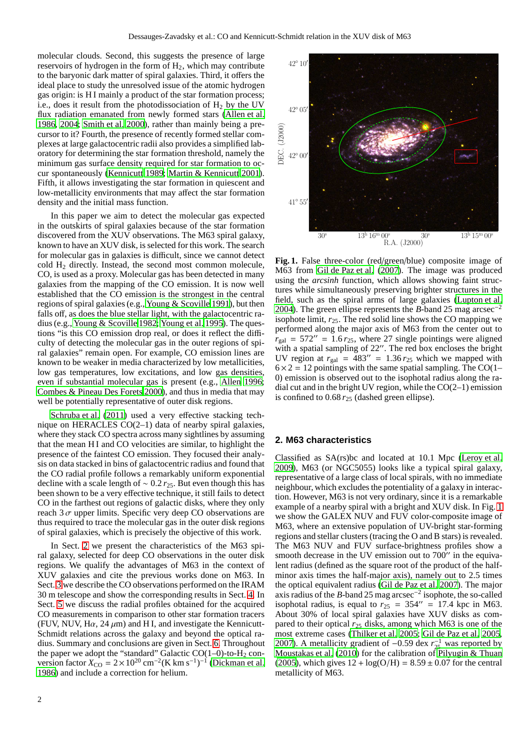molecular clouds. Second, this suggests the presence of large reservoirs of hydrogen in the form of  $H<sub>2</sub>$ , which may contribute to the baryonic dark matter of spiral galaxies. Third, it offers the ideal place to study the unresolved issue of the atomic hydrogen gas origin: is H I mainly a product of the star formation process; i.e., does it result from the photodissociation of  $H<sub>2</sub>$  by the UV flux radiation emanated from newly formed stars [\(Allen et al.](#page-11-11) [1986](#page-11-11), [2004;](#page-11-12) [Smith et al. 2000\)](#page-11-13), rather than mainly being a precursor to it? Fourth, the presence of recently formed stellar complexes at large galactocentric radii also provides a simplified laboratory for determining the star formation threshold, namely the minimum gas surface density required for star formation to occur spontaneously [\(Kennicutt 1989;](#page-11-14) [Martin & Kennicutt 2001](#page-11-15)). Fifth, it allows investigating the star formation in quiescent and low-metallicity environments that may affect the star formation density and the initial mass function.

In this paper we aim to detect the molecular gas expected in the outskirts of spiral galaxies because of the star formation discovered from the XUV observations. The M63 spiral galaxy, known to have an XUV disk, is selected for this work. The search for molecular gas in galaxies is difficult, since we cannot detect cold H<sup>2</sup> directly. Instead, the second most common molecule, CO, is used as a proxy. Molecular gas has been detected in many galaxies from the mapping of the CO emission. It is now well established that the CO emission is the strongest in the central regions of spiral galaxies (e.g., [Young & Scoville 1991\)](#page-11-16), but then falls off, as does the blue stellar light, with the galactocentric radius (e.g., [Young & Scoville 1982;](#page-11-17) [Young et al. 1995](#page-11-18)). The questions "is this CO emission drop real, or does it reflect the difficulty of detecting the molecular gas in the outer regions of spiral galaxies" remain open. For example, CO emission lines are known to be weaker in media characterized by low metallicities, low gas temperatures, low excitations, and low gas densities, even if substantial molecular gas is present (e.g., [Allen 1996](#page-11-19); [Combes & Pineau Des Forets 2000](#page-11-20)), and thus in media that may well be potentially representative of outer disk regions.

[Schruba et al. \(2011\)](#page-11-21) used a very effective stacking technique on HERACLES CO(2–1) data of nearby spiral galaxies, where they stack CO spectra across many sightlines by assuming that the mean HI and CO velocities are similar, to highlight the presence of the faintest CO emission. They focused their analysis on data stacked in bins of galactocentric radius and found that the CO radial profile follows a remarkably uniform exponential decline with a scale length of ∼ 0.2 *r*25. But even though this has been shown to be a very effective technique, it still fails to detect CO in the farthest out regions of galactic disks, where they only reach  $3\sigma$  upper limits. Specific very deep CO observations are thus required to trace the molecular gas in the outer disk regions of spiral galaxies, which is precisely the objective of this work.

In Sect. [2](#page-1-0) we present the characteristics of the M63 spiral galaxy, selected for deep CO observations in the outer disk regions. We qualify the advantages of M63 in the context of XUV galaxies and cite the previous works done on M63. In Sect. [3](#page-2-0) we describe the CO observations performed on the IRAM 30 m telescope and show the corresponding results in Sect. [4.](#page-3-0) In Sect. [5](#page-5-0) we discuss the radial profiles obtained for the acquired CO measurements in comparison to other star formation tracers (FUV, NUV, H $\alpha$ , 24  $\mu$ m) and HI, and investigate the Kennicutt-Schmidt relations across the galaxy and beyond the optical radius. Summary and conclusions are given in Sect. [6.](#page-10-0) Throughout the paper we adopt the "standard" Galactic  $CO(1-0)$ -to- $H_2$  conversion factor  $X_{\text{CO}} = 2 \times 10^{20} \text{ cm}^{-2} (\text{K km s}^{-1})^{-1}$  [\(Dickman et al.](#page-11-22) [1986](#page-11-22)) and include a correction for helium.



<span id="page-1-1"></span>**Fig. 1.** False three-color (red/green/blue) composite image of M63 from [Gil de Paz et al. \(2007](#page-11-10)). The image was produced using the *arcsinh* function, which allows showing faint structures while simultaneously preserving brighter structures in the field, such as the spiral arms of large galaxies [\(Lupton et al.](#page-11-23) [2004\)](#page-11-23). The green ellipse represents the *B*-band 25 mag arcsec−<sup>2</sup> isophote limit,  $r_{25}$ . The red solid line shows the CO mapping we performed along the major axis of M63 from the center out to  $r_{\text{gal}} = 572'' = 1.6 r_{25}$ , where 27 single pointings were aligned with a spatial sampling of 22′′. The red box encloses the bright UV region at  $r_{\text{gal}} = 483'' = 1.36 r_{25}$  which we mapped with  $6 \times 2 = 12$  pointings with the same spatial sampling. The CO(1– 0) emission is observed out to the isophotal radius along the radial cut and in the bright UV region, while the  $CO(2-1)$  emission is confined to  $0.68 r_{25}$  (dashed green ellipse).

## <span id="page-1-0"></span>**2. M63 characteristics**

Classified as SA(rs)bc and located at 10.1 Mpc [\(Leroy et al.](#page-11-24) [2009\)](#page-11-24), M63 (or NGC5055) looks like a typical spiral galaxy, representative of a large class of local spirals, with no immediate neighbour, which excludes the potentiality of a galaxy in interaction. However, M63 is not very ordinary, since it is a remarkable example of a nearby spiral with a bright and XUV disk. In Fig. [1](#page-1-1) we show the GALEX NUV and FUV color-composite image of M63, where an extensive population of UV-bright star-forming regions and stellar clusters (tracing the O and B stars) is revealed. The M63 NUV and FUV surface-brightness profiles show a smooth decrease in the UV emission out to 700" in the equivalent radius (defined as the square root of the product of the halfminor axis times the half-major axis), namely out to 2.5 times the optical equivalent radius [\(Gil de Paz et al. 2007\)](#page-11-10). The major axis radius of the *B*-band 25 mag arcsec−<sup>2</sup> isophote, the so-called isophotal radius, is equal to  $r_{25}$  = 354" = 17.4 kpc in M63. About 30% of local spiral galaxies have XUV disks as compared to their optical *r*<sup>25</sup> disks, among which M63 is one of the most extreme cases [\(Thilker et al. 2005;](#page-11-8) [Gil de Paz et al. 2005](#page-11-9), [2007\)](#page-11-10). A metallicity gradient of  $-0.59$  dex  $r_{25}^{-1}$  was reported by [Moustakas et al. \(2010\)](#page-11-25) for the calibration of [Pilyugin & Thuan](#page-11-26) [\(2005](#page-11-26)), which gives  $12 + \log(O/H) = 8.59 \pm 0.07$  for the central metallicity of M63.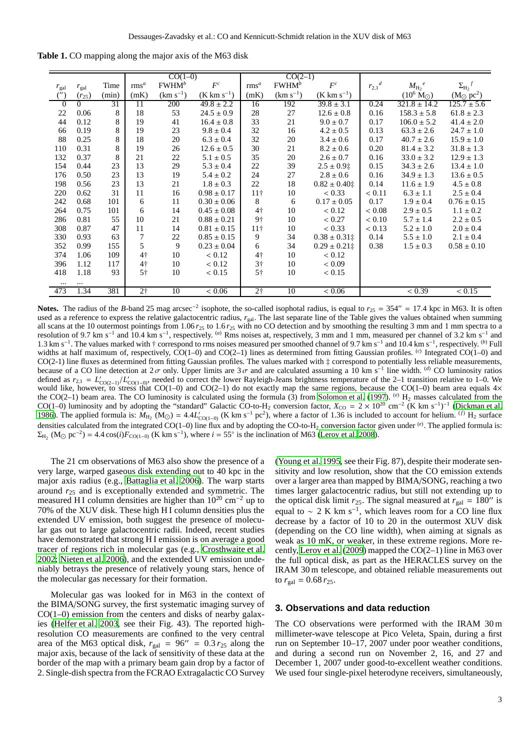**Table 1.** CO mapping along the major axis of the M63 disk

<span id="page-2-1"></span>

|                     |                |       | $CO(1-0)$        |                   |                         | $CO(2-1)$        |                   |                         |               |                    |                                    |
|---------------------|----------------|-------|------------------|-------------------|-------------------------|------------------|-------------------|-------------------------|---------------|--------------------|------------------------------------|
| $r_{\rm gal}$       | $r_{\rm gal}$  | Time  | rms <sup>a</sup> | FWHM <sup>b</sup> | $F^c$                   | $\mathrm{rms}^a$ | FWHM <sup>b</sup> | $F^c$                   | $r_{2,1}^{d}$ | $M_{\rm H_2}{}^e$  | $\Sigma_{\mathrm{H}_2}^{\qquad f}$ |
| $(^{\prime\prime})$ | $(r_{25})$     | (min) | (mK)             | $(km s^{-1})$     | $(K \text{ km s}^{-1})$ | (mK)             | $(km s^{-1})$     | $(K \text{ km s}^{-1})$ |               | $(10^6 M_{\odot})$ | $(M_{\odot} pc^2)$                 |
| $\overline{0}$      | $\overline{0}$ | 31    | 11               | 200               | $49.8 \pm 2.2$          | 16               | 192               | $39.8 \pm 3.1$          | 0.24          | $321.8 \pm 14.2$   | $125.7 \pm 5.6$                    |
| 22                  | 0.06           | 8     | 18               | 53                | $24.5 \pm 0.9$          | 28               | 27                | $12.6 \pm 0.8$          | 0.16          | $158.3 \pm 5.8$    | $61.8 \pm 2.3$                     |
| 44                  | 0.12           | 8     | 19               | 41                | $16.4 \pm 0.8$          | 33               | 21                | $9.0 \pm 0.7$           | 0.17          | $106.0 \pm 5.2$    | $41.4 \pm 2.0$                     |
| 66                  | 0.19           | 8     | 19               | 23                | $9.8 \pm 0.4$           | 32               | 16                | $4.2 \pm 0.5$           | 0.13          | $63.3 \pm 2.6$     | $24.7 \pm 1.0$                     |
| 88                  | 0.25           | 8     | 18               | 20                | $6.3 \pm 0.4$           | 32               | 20                | $3.4 \pm 0.6$           | 0.17          | $40.7 \pm 2.6$     | $15.9 \pm 1.0$                     |
| 110                 | 0.31           | 8     | 19               | 26                | $12.6 \pm 0.5$          | 30               | 21                | $8.2 \pm 0.6$           | 0.20          | $81.4 \pm 3.2$     | $31.8 \pm 1.3$                     |
| 132                 | 0.37           | 8     | 21               | 22                | $5.1 \pm 0.5$           | 35               | 20                | $2.6 \pm 0.7$           | 0.16          | $33.0 \pm 3.2$     | $12.9 \pm 1.3$                     |
| 154                 | 0.44           | 23    | 13               | 29                | $5.3 \pm 0.4$           | 22               | 39                | $2.5 \pm 0.9$ $\pm$     | 0.15          | $34.3 \pm 2.6$     | $13.4 \pm 1.0$                     |
| 176                 | 0.50           | 23    | 13               | 19                | $5.4 \pm 0.2$           | 24               | 27                | $2.8 \pm 0.6$           | 0.16          | $34.9 \pm 1.3$     | $13.6 \pm 0.5$                     |
| 198                 | 0.56           | 23    | 13               | 21                | $1.8 \pm 0.3$           | 22               | 18                | $0.82 \pm 0.40$ ‡       | 0.14          | $11.6 \pm 1.9$     | $4.5\pm0.8$                        |
| 220                 | 0.62           | 31    | 11               | 16                | $0.98 \pm 0.17$         | 11 <sup>†</sup>  | 10                | < 0.33                  | < 0.11        | $6.3 \pm 1.1$      | $2.5 \pm 0.4$                      |
| 242                 | 0.68           | 101   | 6                | 11                | $0.30 \pm 0.06$         | 8                | 6                 | $0.17 \pm 0.05$         | 0.17          | $1.9 \pm 0.4$      | $0.76 \pm 0.15$                    |
| 264                 | 0.75           | 101   | 6                | 14                | $0.45 \pm 0.08$         | $4\dagger$       | 10                | < 0.12                  | < 0.08        | $2.9 \pm 0.5$      | $1.1 \pm 0.2$                      |
| 286                 | 0.81           | 55    | 10               | 21                | $0.88 \pm 0.21$         | 9†               | 10                | < 0.27                  | < 0.10        | $5.7 \pm 1.4$      | $2.2 \pm 0.5$                      |
| 308                 | 0.87           | 47    | 11               | 14                | $0.81\pm0.15$           | $11\dagger$      | 10                | < 0.33                  | < 0.13        | $5.2 \pm 1.0$      | $2.0 \pm 0.4$                      |
| 330                 | 0.93           | 63    | $\overline{7}$   | 22                | $0.85 \pm 0.15$         | 9                | 34                | $0.38 \pm 0.31$ ‡       | 0.14          | $5.5 \pm 1.0$      | $2.1 \pm 0.4$                      |
| 352                 | 0.99           | 155   | 5                | 9                 | $0.23 \pm 0.04$         | 6                | 34                | $0.29 \pm 0.21$ ‡       | 0.38          | $1.5 \pm 0.3$      | $0.58 \pm 0.10$                    |
| 374                 | 1.06           | 109   | $4+$             | 10                | < 0.12                  | $4\dagger$       | 10                | < 0.12                  |               |                    |                                    |
| 396                 | 1.12           | 117   | 4 <sup>†</sup>   | 10                | < 0.12                  | 3 <sup>†</sup>   | 10                | ${}< 0.09$              |               |                    |                                    |
| 418                 | 1.18           | 93    | 5 <sup>†</sup>   | 10                | < 0.15                  | $5+$             | 10                | < 0.15                  |               |                    |                                    |
| $\cdots$            |                |       |                  |                   |                         |                  |                   |                         |               |                    |                                    |
| 473                 | 1.34           | 381   | $2+$             | 10                | ${}< 0.06$              | 2 <sub>1</sub>   | 10                | ${}< 0.06$              |               | < 0.39             | < 0.15                             |

Notes. The radius of the *B*-band 25 mag arcsec<sup>-2</sup> isophote, the so-called isophotal radius, is equal to *r*<sub>25</sub> = 354″ = 17.4 kpc in M63. It is often used as a reference to express the relative galactocentric radius,  $r_{\text{gal}}$ . The last separate line of the Table gives the values obtained when summing all scans at the 10 outermost pointings from 1.06  $r_{25}$  to 1.6  $r_{25}$  with no CO detection and by smoothing the resulting 3 mm and 1 mm spectra to a resolution of 9.7 km s<sup>−1</sup> and 10.4 km s<sup>−1</sup>, respectively. <sup>(*a*)</sup> Rms noises at, respectively, 3 mm and 1 mm, measured per channel of 3.2 km s<sup>−1</sup> and 1.3 km s<sup>−1</sup>. The values marked with † correspond to rms noises measured per smoothed channel of 9.7 km s<sup>−1</sup> and 10.4 km s<sup>−1</sup>, respectively. <sup>(*b*)</sup> Full widths at half maximum of, respectively, CO(1–0) and CO(2–1) lines as determined from fitting Gaussian profiles. <sup>(c)</sup> Integrated CO(1–0) and CO(2-1) line fluxes as determined from fitting Gaussian profiles. The values marked with ‡ correspond to potentially less reliable measurements, because of a CO line detection at  $2\sigma$  only. Upper limits are  $3\sigma$  and are calculated assuming a 10 km s<sup>-1</sup> line width. <sup>(*d*)</sup> CO luminosity ratios defined as  $r_{2,1} = L'_{CO(2-1)}/L'_{CO(1-0)}$ , needed to correct the lower Rayleigh-Jeans brightness temperature of the 2–1 transition relative to 1–0. We would like, however, to stress that CO(1–0) and CO(2–1) do not exactly m the CO(2–1) beam area. The CO luminosity is calculated using the formula ( $\hat{3}$ ) from [Solomon et al. \(1997](#page-11-27)). <sup>(*e*)</sup> H<sub>2</sub> masses calculated from the CO(1–0) luminosity and by adopting the "standard" Galactic CO-to-H<sub>2</sub> conversion factor,  $X_{\text{CO}} = 2 \times 10^{20} \text{ cm}^{-2}$  (K km s<sup>-1</sup>)<sup>-1</sup> [\(Dickman et al.](#page-11-22) [1986\)](#page-11-22). The applied formula is:  $M_{\text{H}_2}$  (M<sub>☉</sub>) = 4.4L'<sub>CO(1-0)</sub> (K km s<sup>-1</sup> pc<sup>2</sup>), where a factor of 1.36 is included to account for helium. <sup>(*f*)</sup> H<sub>2</sub> surface densities calculated from the integrated CO(1–0) line flux and by adopting the CO-to-H<sub>2</sub> conversion factor given under <sup>(*e*)</sup>. The applied formula is:  $\Sigma_{\text{H}_2}$  (M<sub>O</sub> pc<sup>-2</sup>) = 4.4 cos(*i*) $F_{\text{CO}(1-0)}$  (K km s<sup>-1</sup>), where *i* = 55° is the inclination of M63 [\(Leroy et al. 2008\)](#page-11-28).

The 21 cm observations of M63 also show the presence of a very large, warped gaseous disk extending out to 40 kpc in the major axis radius (e.g., [Battaglia et al. 2006](#page-11-29)). The warp starts around *r*<sup>25</sup> and is exceptionally extended and symmetric. The measured HI column densities are higher than  $10^{20}$  cm<sup>-2</sup> up to 70% of the XUV disk. These high H I column densities plus the extended UV emission, both suggest the presence of molecular gas out to large galactocentric radii. Indeed, recent studies have demonstrated that strong H I emission is on average a good tracer of regions rich in molecular gas (e.g., [Crosthwaite et al.](#page-11-30) [2002](#page-11-30); [Nieten et al. 2006\)](#page-11-31), and the extended UV emission undeniably betrays the presence of relatively young stars, hence of the molecular gas necessary for their formation.

Molecular gas was looked for in M63 in the context of the BIMA/SONG survey, the first systematic imaging survey of  $CO(1-0)$  emission from the centers and disks of nearby galaxies [\(Helfer et al. 2003](#page-11-32), see their Fig. 43). The reported highresolution CO measurements are confined to the very central area of the M63 optical disk,  $r_{\text{gal}} = 96'' = 0.3 r_{25}$  along the major axis, because of the lack of sensitivity of these data at the border of the map with a primary beam gain drop by a factor of 2. Single-dish spectra from the FCRAO Extragalactic CO Survey

[\(Young et al. 1995](#page-11-18), see their Fig. 87), despite their moderate sensitivity and low resolution, show that the CO emission extends over a larger area than mapped by BIMA/SONG, reaching a two times larger galactocentric radius, but still not extending up to the optical disk limit  $r_{25}$ . The signal measured at  $r_{\text{gal}} = 180''$  is equal to  $\sim 2$  K km s<sup>-1</sup>, which leaves room for a CO line flux decrease by a factor of 10 to 20 in the outermost XUV disk (depending on the CO line width), when aiming at signals as weak as 10 mK, or weaker, in these extreme regions. More recently, [Leroy et al. \(2009\)](#page-11-24) mapped the CO(2–1) line in M63 over the full optical disk, as part as the HERACLES survey on the IRAM 30 m telescope, and obtained reliable measurements out to  $r_{\text{gal}} = 0.68 r_{25}$ .

## <span id="page-2-0"></span>**3. Observations and data reduction**

The CO observations were performed with the IRAM 30 m millimeter-wave telescope at Pico Veleta, Spain, during a first run on September 10–17, 2007 under poor weather conditions, and during a second run on November 2, 16, and 27 and December 1, 2007 under good-to-excellent weather conditions. We used four single-pixel heterodyne receivers, simultaneously,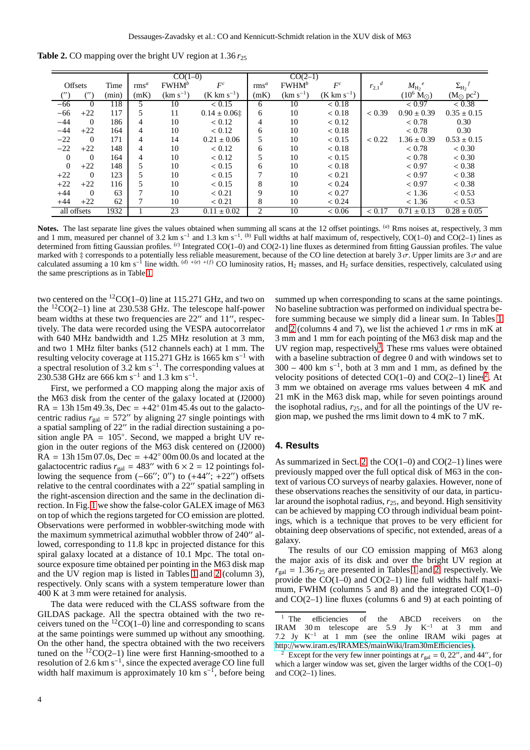**Table 2.** CO mapping over the bright UV region at  $1.36 r_{25}$ 

<span id="page-3-1"></span>

|                     |                   |       | $CO(\overline{1-0})$ |                   |                         | $CO(2-1)$        |                   |                         |               |                           |                    |
|---------------------|-------------------|-------|----------------------|-------------------|-------------------------|------------------|-------------------|-------------------------|---------------|---------------------------|--------------------|
| Offsets             |                   | Time  | rms <sup>a</sup>     | FWHM <sup>b</sup> | $F^c$                   | rms <sup>a</sup> | FWHM <sup>b</sup> | $F^c$                   | $r_{2,1}^{d}$ | $M_{\rm H2}$ <sup>e</sup> | $\Sigma_{\rm H2}$  |
| $(^{\prime\prime})$ | $^{\prime\prime}$ | (min) | (mK)                 | $(km s^{-1})$     | $(K \text{ km s}^{-1})$ | (mK)             | $(km s^{-1})$     | $(K \text{ km s}^{-1})$ |               | $(10^6 M_{\odot})$        | $(M_{\odot} pc^2)$ |
| $-66$               | $\Omega$          | 118   | 5.                   | 10                | < 0.15                  | 6                | 10                | ${}< 0.18$              |               | < 0.97                    | < 0.38             |
| $-66$               | $+22$             | 117   | 5                    | 11                | $0.14 \pm 0.06$ ‡       | 6                | 10                | < 0.18                  | < 0.39        | $0.90 \pm 0.39$           | $0.35 \pm 0.15$    |
| $-44$               | $\theta$          | 186   | 4                    | 10                | < 0.12                  | 4                | 10                | < 0.12                  |               | < 0.78                    | 0.30               |
| $-44$               | $+22$             | 164   | 4                    | 10                | < 0.12                  | 6                | 10                | < 0.18                  |               | < 0.78                    | 0.30               |
| $-22$               | $\theta$          | 171   | 4                    | 14                | $0.21 \pm 0.06$         | 5                | 10                | < 0.15                  | < 0.22        | $1.36 \pm 0.39$           | $0.53 \pm 0.15$    |
| $-22$               | $+22$             | 148   | 4                    | 10                | < 0.12                  | 6                | 10                | < 0.18                  |               | ${}< 0.78$                | < 0.30             |
| $\Omega$            | $\Omega$          | 164   | 4                    | 10                | < 0.12                  | 5                | 10                | < 0.15                  |               | < 0.78                    | < 0.30             |
| $\Omega$            | $+22$             | 148   | 5                    | 10                | < 0.15                  | 6                | 10                | < 0.18                  |               | < 0.97                    | < 0.38             |
| $+22$               | $\Omega$          | 123   | 5                    | 10                | < 0.15                  |                  | 10                | ${}< 0.21$              |               | < 0.97                    | < 0.38             |
| $+22$               | $+22$             | 116   | 5                    | 10                | < 0.15                  | 8                | 10                | < 0.24                  |               | < 0.97                    | < 0.38             |
| $+44$               | $\Omega$          | 63    |                      | 10                | ${}< 0.21$              | 9                | 10                | < 0.27                  |               | < 1.36                    | < 0.53             |
| $+44$               | $+22$             | 62    |                      | 10                | ${}< 0.21$              | 8                | 10                | < 0.24                  |               | < 1.36                    | < 0.53             |
|                     | all offsets       |       |                      | 23                | $0.11 \pm 0.02$         | $\mathfrak{D}$   | 10                | ${}< 0.06$              | < 0.17        | $0.71 \pm 0.13$           | $0.28 \pm 0.05$    |

**Notes.** The last separate line gives the values obtained when summing all scans at the 12 offset pointings. (*a*) Rms noises at, respectively, 3 mm and 1 mm, measured per channel of 3.2 km s<sup>-1</sup> and 1.3 km s<sup>-1</sup>. <sup>(*b*)</sup> Full widths at half maximum of, respectively, CO(1–0) and CO(2–1) lines as determined from fitting Gaussian profiles. <sup>(*c*)</sup> Integrated CO(1–0) and CO(2-1) line fluxes as determined from fitting Gaussian profiles. The value marked with  $\ddagger$  corresponds to a potentially less reliable measurement, because of the CO line detection at barely 3 $\sigma$ . Upper limits are 3 $\sigma$  and are calculated assuming a 10 km s<sup>-1</sup> line width. (*d*) +(*e*) +(*f*) CO luminosity ratios, H<sub>2</sub> masses, and H<sub>2</sub> surface densities, respectively, calculated using the same prescriptions as in Table [1.](#page-2-1)

two centered on the  ${}^{12}CO(1-0)$  line at 115.271 GHz, and two on the  ${}^{12}CO(2-1)$  line at 230.538 GHz. The telescope half-power beam widths at these two frequencies are 22" and 11", respectively. The data were recorded using the VESPA autocorrelator with 640 MHz bandwidth and 1.25 MHz resolution at 3 mm, and two 1 MHz filter banks (512 channels each) at 1 mm. The resulting velocity coverage at 115.271 GHz is 1665 km s<sup> $-1$ </sup> with a spectral resolution of  $3.2 \text{ km s}^{-1}$ . The corresponding values at 230.538 GHz are 666 km s<sup>-1</sup> and 1.3 km s<sup>-1</sup>.

First, we performed a CO mapping along the major axis of the M63 disk from the center of the galaxy located at (J2000)  $RA = 13h 15m 49.3s, Dec = +42°01m 45.4s$  out to the galactocentric radius  $r_{\text{gal}} = 572''$  by aligning 27 single pointings with a spatial sampling of 22′′ in the radial direction sustaining a position angle  $PA = 105^\circ$ . Second, we mapped a bright UV region in the outer regions of the M63 disk centered on (J2000)  $RA = 13h 15m 07.0s$ ,  $Dec = +42° 00m 00.0s$  and located at the galactocentric radius  $r_{\text{gal}} = 483''$  with  $6 \times 2 = 12$  pointings following the sequence from  $(-66'')$ ; 0′′) to  $(+44'')$ ;  $+22'$ <sup>'</sup>) offsets relative to the central coordinates with a 22′′ spatial sampling in the right-ascension direction and the same in the declination direction. In Fig. [1](#page-1-1) we show the false-color GALEX image of M63 on top of which the regions targeted for CO emission are plotted. Observations were performed in wobbler-switching mode with the maximum symmetrical azimuthal wobbler throw of 240′′ allowed, corresponding to 11.8 kpc in projected distance for this spiral galaxy located at a distance of 10.1 Mpc. The total onsource exposure time obtained per pointing in the M63 disk map and the UV region map is listed in Tables [1](#page-2-1) and [2](#page-3-1) (column 3), respectively. Only scans with a system temperature lower than 400 K at 3 mm were retained for analysis.

The data were reduced with the CLASS software from the GILDAS package. All the spectra obtained with the two receivers tuned on the  ${}^{12}CO(1-0)$  line and corresponding to scans at the same pointings were summed up without any smoothing. On the other hand, the spectra obtained with the two receivers tuned on the  ${}^{12}CO(2-1)$  line were first Hanning-smoothed to a resolution of 2.6 km s<sup>−</sup><sup>1</sup> , since the expected average CO line full width half maximum is approximately 10 km s<sup>-1</sup>, before being summed up when corresponding to scans at the same pointings. No baseline subtraction was performed on individual spectra before summing because we simply did a linear sum. In Tables [1](#page-2-1) and [2](#page-3-1) (columns 4 and 7), we list the achieved  $1\sigma$  rms in mK at 3 mm and 1 mm for each pointing of the M63 disk map and the UV region map, respectively<sup>[1](#page-3-2)</sup>. These rms values were obtained with a baseline subtraction of degree 0 and with windows set to  $300 - 400$  km s<sup>-1</sup>, both at 3 mm and 1 mm, as defined by the velocity positions of detected  $CO(1-0)$  and  $CO(2-1)$  $CO(2-1)$  $CO(2-1)$  lines<sup>2</sup>. At 3 mm we obtained on average rms values between 4 mK and 21 mK in the M63 disk map, while for seven pointings around the isophotal radius,  $r_{25}$ , and for all the pointings of the UV region map, we pushed the rms limit down to 4 mK to 7 mK.

# <span id="page-3-0"></span>**4. Results**

As summarized in Sect. [2,](#page-1-0) the  $CO(1-0)$  and  $CO(2-1)$  lines were previously mapped over the full optical disk of M63 in the context of various CO surveys of nearby galaxies. However, none of these observations reaches the sensitivity of our data, in particular around the isophotal radius,  $r_{25}$ , and beyond. High sensitivity can be achieved by mapping CO through individual beam pointings, which is a technique that proves to be very efficient for obtaining deep observations of specific, not extended, areas of a galaxy.

The results of our CO emission mapping of M63 along the major axis of its disk and over the bright UV region at  $r_{\text{gal}} = 1.36 r_{25}$  $r_{\text{gal}} = 1.36 r_{25}$  $r_{\text{gal}} = 1.36 r_{25}$  are presented in Tables 1 and [2,](#page-3-1) respectively. We provide the  $CO(1-0)$  and  $CO(2-1)$  line full widths half maximum, FWHM (columns 5 and 8) and the integrated  $CO(1-0)$ and CO(2–1) line fluxes (columns 6 and 9) at each pointing of

<span id="page-3-2"></span><sup>&</sup>lt;sup>1</sup> The efficiencies of the ABCD receivers on the IRAM 30 m telescope are 5.9 Jy  $K^{-1}$  at 3 mm and 7.2 Jy K<sup>−</sup><sup>1</sup> at 1 mm (see the online IRAM wiki pages at http://[www.iram.es](http://www.iram.es/IRAMES/mainWiki/Iram30mEfficiencies)/IRAMES/mainWiki/Iram30mEfficiencies).

<span id="page-3-3"></span>Except for the very few inner pointings at  $r_{\text{gal}} = 0$ , 22<sup>*''*</sup>, and 44<sup>*''*</sup>, for which a larger window was set, given the larger widths of the  $CO(1-0)$ and CO(2–1) lines.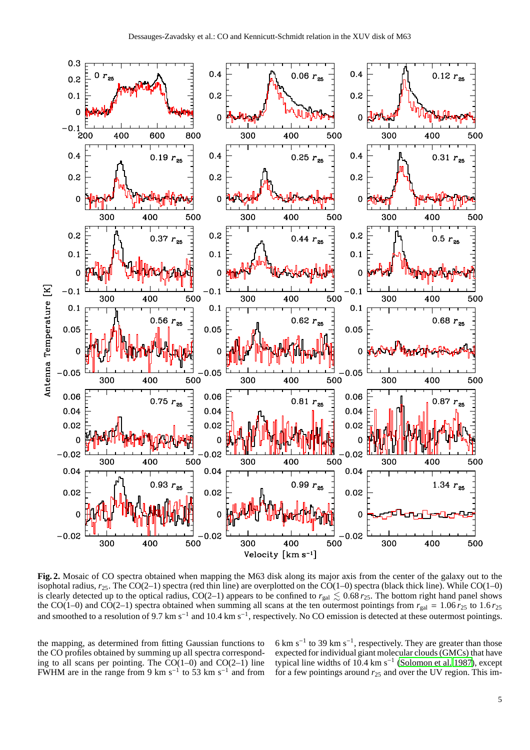

<span id="page-4-0"></span>**Fig. 2.** Mosaic of CO spectra obtained when mapping the M63 disk along its major axis from the center of the galaxy out to the isophotal radius,  $r_{25}$ . The CO(2–1) spectra (red thin line) are overplotted on the CO(1–0) spectra (black thick line). While CO(1–0) is clearly detected up to the optical radius,  $CO(2-1)$  appears to be confined to  $r_{gal} \lesssim 0.68 r_{25}$ . The bottom right hand panel shows the CO(1–0) and CO(2–1) spectra obtained when summing all scans at the ten outermost pointings from  $r_{gal} = 1.06 r_{25}$  to 1.6  $r_{25}$ and smoothed to a resolution of 9.7 km s<sup>-1</sup> and 10.4 km s<sup>-1</sup>, respectively. No CO emission is detected at these outermost pointings.

the mapping, as determined from fitting Gaussian functions to the CO profiles obtained by summing up all spectra corresponding to all scans per pointing. The  $CO(1-0)$  and  $CO(2-1)$  line FWHM are in the range from 9 km s<sup>-1</sup> to 53 km s<sup>-1</sup> and from

6 km s<sup>-1</sup> to 39 km s<sup>-1</sup>, respectively. They are greater than those expected for individual giant molecular clouds (GMCs) that have typical line widths of 10.4 km s<sup>−</sup><sup>1</sup> [\(Solomon et al. 1987\)](#page-11-33), except for a few pointings around *r*<sup>25</sup> and over the UV region. This im-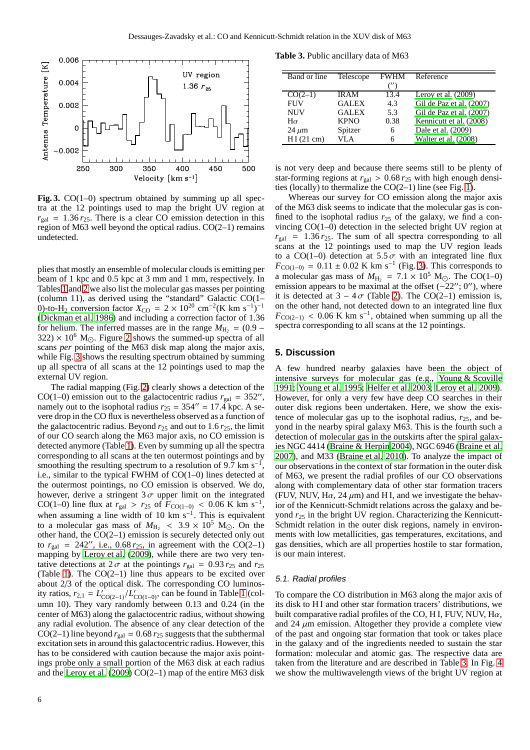

<span id="page-5-1"></span>Fig. 3. CO(1–0) spectrum obtained by summing up all spectra at the 12 pointings used to map the bright UV region at  $r_{\text{gal}} = 1.36 r_{25}$ . There is a clear CO emission detection in this region of M63 well beyond the optical radius. CO(2–1) remains undetected.

plies that mostly an ensemble of molecular clouds is emitting per beam of 1 kpc and 0.5 kpc at 3 mm and 1 mm, respectively. In Tables [1](#page-2-1) and [2](#page-3-1) we also list the molecular gas masses per pointing (column 11), as derived using the "standard" Galactic CO(1– 0)-to-H<sub>2</sub> conversion factor  $X_{\text{CO}} = 2 \times 10^{20} \text{ cm}^{-2} (\text{K km s}^{-1})^{-1}$ [\(Dickman et al. 1986\)](#page-11-22) and including a correction factor of 1.36 for helium. The inferred masses are in the range  $M_{\text{H}_2} = (0.9 - 1)$  $322 \times 10^6$  M<sub> $\odot$ </sub>. Figure [2](#page-4-0) shows the summed-up spectra of all scans *per* pointing of the M63 disk map along the major axis, while Fig. [3](#page-5-1) shows the resulting spectrum obtained by summing up all spectra of all scans at the 12 pointings used to map the external UV region.

The radial mapping (Fig. [2\)](#page-4-0) clearly shows a detection of the CO(1–0) emission out to the galactocentric radius  $r_{\text{gal}} = 352^{\prime\prime}$ , namely out to the isophotal radius  $r_{25} = 354'' = 17.4$  kpc. A severe drop in the CO flux is nevertheless observed as a function of the galactocentric radius. Beyond  $r_{25}$  and out to 1.6  $r_{25}$ , the limit of our CO search along the M63 major axis, no CO emission is detected anymore (Table [1\)](#page-2-1). Even by summing up all the spectra corresponding to all scans at the ten outermost pointings and by smoothing the resulting spectrum to a resolution of 9.7 km s<sup>−1</sup> , i.e., similar to the typical FWHM of CO(1–0) lines detected at the outermost pointings, no CO emission is observed. We do, however, derive a stringent  $3\sigma$  upper limit on the integrated CO(1–0) line flux at  $r_{\text{gal}} > r_{25}$  of  $F_{\text{CO}(1-0)} < 0.06 \text{ K km s}^{-1}$ , when assuming a line width of 10 km  $s^{-1}$ . This is equivalent to a molecular gas mass of  $M_{\text{H}_2} < 3.9 \times 10^5$  M<sub>O</sub>. On the other hand, the CO(2–1) emission is securely detected only out to  $r_{\text{gal}} = 242''$ , i.e., 0.68  $r_{25}$ , in agreement with the CO(2–1) mapping by [Leroy et al. \(2009\)](#page-11-24), while there are two very tentative detections at  $2\sigma$  at the pointings  $r_{\text{gal}} = 0.93 r_{25}$  and  $r_{25}$ (Table [1\)](#page-2-1). The  $CO(2-1)$  line thus appears to be excited over about 2/3 of the optical disk. The corresponding CO luminosity ratios,  $r_{2,1} = L'_{CO(2-1)}/L'_{CO(1-0)}$ , can be found in Table [1](#page-2-1) (column 10). They vary randomly between 0.13 and 0.24 (in the center of M63) along the galactocentric radius, without showing any radial evolution. The absence of any clear detection of the  $CO(2-1)$  line beyond  $r_{gal} = 0.68 r_{25}$  suggests that the subthermal excitation sets in around this galactocentric radius. However, this has to be considered with caution because the major axis pointings probe only a small portion of the M63 disk at each radius and the [Leroy et al. \(2009\)](#page-11-24) CO(2–1) map of the entire M63 disk

**Table 3.** Public ancillary data of M63

<span id="page-5-2"></span>

| <b>Band</b> or line | Telescope    | <b>FWHM</b> | Reference                |  |  |
|---------------------|--------------|-------------|--------------------------|--|--|
|                     |              |             |                          |  |  |
| $CO(2-1)$           | <b>IRAM</b>  | 13.4        | Leroy et al. $(2009)$    |  |  |
| <b>FUV</b>          | <b>GALEX</b> | 4.3         | Gil de Paz et al. (2007) |  |  |
| <b>NUV</b>          | <b>GALEX</b> | 5.3         | Gil de Paz et al. (2007) |  |  |
| $H\alpha$           | <b>KPNO</b>  | 0.38        | Kennicutt et al. (2008)  |  |  |
| $24 \mu m$          | Spitzer      | 6           | Dale et al. (2009)       |  |  |
| HI(21 cm)           | VI A         | 6           | Walter et al. (2008)     |  |  |

is not very deep and because there seems still to be plenty of star-forming regions at  $r_{\text{gal}} > 0.68 r_{25}$  with high enough densities (locally) to thermalize the CO(2–1) line (see Fig. [1\)](#page-1-1).

Whereas our survey for CO emission along the major axis of the M63 disk seems to indicate that the molecular gas is confined to the isophotal radius  $r_{25}$  of the galaxy, we find a convincing CO(1–0) detection in the selected bright UV region at  $r_{\text{gal}}$  = 1.36 $r_{25}$ . The sum of all spectra corresponding to all scans at the 12 pointings used to map the UV region leads to a CO(1–0) detection at 5.5  $\sigma$  with an integrated line flux  $F_{\text{CO}(1-0)} = 0.11 \pm 0.02 \text{ K km s}^{-1}$  (Fig. [3\)](#page-5-1). This corresponds to a molecular gas mass of  $M_{\text{H}_2}$  = 7.1 × 10<sup>5</sup> M<sub>O</sub>. The CO(1–0) emission appears to be maximal at the offset (−22′′; 0′′), where it is detected at  $3 - 4\sigma$  (Table [2\)](#page-3-1). The CO(2–1) emission is, on the other hand, not detected down to an integrated line flux  $F_{\text{CO}(2-1)}$  < 0.06 K km s<sup>-1</sup>, obtained when summing up all the spectra corresponding to all scans at the 12 pointings.

#### <span id="page-5-0"></span>**5. Discussion**

A few hundred nearby galaxies have been the object of intensive surveys for molecular gas (e.g., [Young & Scoville](#page-11-16) [1991;](#page-11-16) [Young et al. 1995](#page-11-18); [Helfer et al. 2003;](#page-11-32) [Leroy et al. 2009\)](#page-11-24). However, for only a very few have deep CO searches in their outer disk regions been undertaken. Here, we show the existence of molecular gas up to the isophotal radius,  $r_{25}$ , and beyond in the nearby spiral galaxy M63. This is the fourth such a detection of molecular gas in the outskirts after the spiral galaxies NGC 4414 [\(Braine & Herpin 2004](#page-11-37)), NGC 6946 [\(Braine et al.](#page-11-38) [2007\)](#page-11-38), and M33 [\(Braine et al. 2010\)](#page-11-39). To analyze the impact of our observations in the context of star formation in the outer disk of M63, we present the radial profiles of our CO observations along with complementary data of other star formation tracers (FUV, NUV, H $\alpha$ , 24  $\mu$ m) and HI, and we investigate the behavior of the Kennicutt-Schmidt relations across the galaxy and beyond *r*<sup>25</sup> in the bright UV region. Characterizing the Kennicutt-Schmidt relation in the outer disk regions, namely in environments with low metallicities, gas temperatures, excitations, and gas densities, which are all properties hostile to star formation, is our main interest.

#### <span id="page-5-3"></span>5.1. Radial profiles

To compare the CO distribution in M63 along the major axis of its disk to H I and other star formation tracers' distributions, we built comparative radial profiles of the CO, HI, FUV, NUV,  $H\alpha$ , and 24  $\mu$ m emission. Altogether they provide a complete view of the past and ongoing star formation that took or takes place in the galaxy and of the ingredients needed to sustain the star formation: molecular and atomic gas. The respective data are taken from the literature and are described in Table [3.](#page-5-2) In Fig. [4](#page-6-0) we show the multiwavelength views of the bright UV region at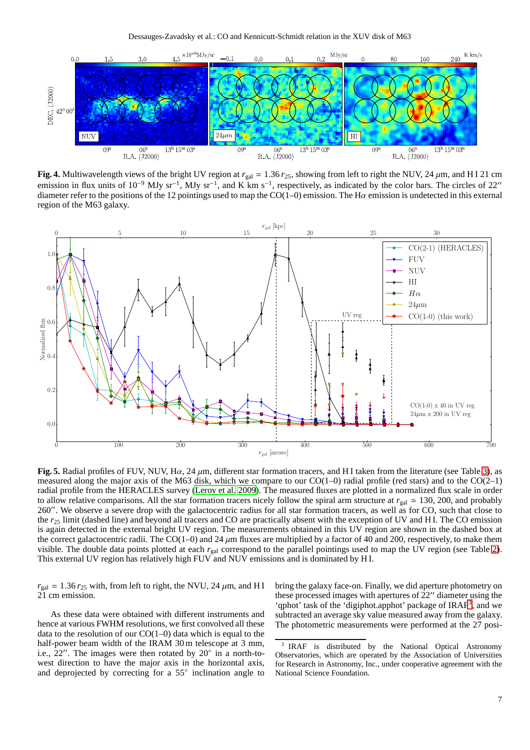

<span id="page-6-0"></span>**Fig. 4.** Multiwavelength views of the bright UV region at  $r_{gal} = 1.36 r_{25}$ , showing from left to right the NUV, 24  $\mu$ m, and H I 21 cm emission in flux units of 10<sup>-9</sup> MJy sr<sup>-1</sup>, MJy sr<sup>-1</sup>, and K km s<sup>-1</sup>, respectively, as indicated by the color bars. The circles of 22″ diameter refer to the positions of the 12 pointings used to map the  $CO(1-0)$  emission. The H $\alpha$  emission is undetected in this external region of the M63 galaxy.



<span id="page-6-2"></span>**Fig. 5.** Radial profiles of FUV, NUV, H $\alpha$ , 24  $\mu$ m, different star formation tracers, and H I taken from the literature (see Table [3\)](#page-5-2), as measured along the major axis of the M63 disk, which we compare to our  $CO(1-0)$  radial profile (red stars) and to the  $CO(2-1)$ radial profile from the HERACLES survey [\(Leroy et al. 2009\)](#page-11-24). The measured fluxes are plotted in a normalized flux scale in order to allow relative comparisons. All the star formation tracers nicely follow the spiral arm structure at  $r_{\text{gal}} \approx 130, 200$ , and probably 260′′. We observe a severe drop with the galactocentric radius for all star formation tracers, as well as for CO, such that close to the  $r_{25}$  limit (dashed line) and beyond all tracers and CO are practically absent with the exception of UV and HI. The CO emission is again detected in the external bright UV region. The measurements obtained in this UV region are shown in the dashed box at the correct galactocentric radii. The CO(1–0) and 24  $\mu$ m fluxes are multiplied by a factor of 40 and 200, respectively, to make them visible. The double data points plotted at each  $r_{\text{gal}}$  correspond to the parallel pointings used to map the UV region (see Table [2\)](#page-3-1). This external UV region has relatively high FUV and NUV emissions and is dominated by H I.

 $r_{\text{gal}} = 1.36 r_{25}$  with, from left to right, the NVU, 24  $\mu$ m, and H I 21 cm emission.

As these data were obtained with different instruments and hence at various FWHM resolutions, we first convolved all these data to the resolution of our  $CO(1-0)$  data which is equal to the half-power beam width of the IRAM 30 m telescope at 3 mm, i.e.,  $22''$ . The images were then rotated by  $20^{\circ}$  in a north-towest direction to have the major axis in the horizontal axis, and deprojected by correcting for a 55◦ inclination angle to

bring the galaxy face-on. Finally, we did aperture photometry on these processed images with apertures of 22′′ diameter using the 'qphot' task of the 'digiphot.apphot' package of IRAF<sup>[3](#page-6-1)</sup>, and we subtracted an average sky value measured away from the galaxy. The photometric measurements were performed at the 27 posi-

<span id="page-6-1"></span><sup>3</sup> IRAF is distributed by the National Optical Astronomy Observatories, which are operated by the Association of Universities for Research in Astronomy, Inc., under cooperative agreement with the National Science Foundation.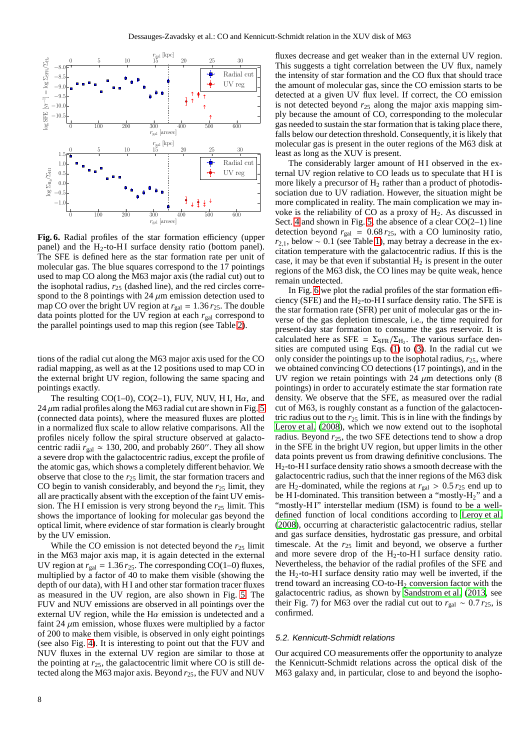

<span id="page-7-0"></span>**Fig. 6.** Radial profiles of the star formation efficiency (upper panel) and the  $H_2$ -to-HI surface density ratio (bottom panel). The SFE is defined here as the star formation rate per unit of molecular gas. The blue squares correspond to the 17 pointings used to map CO along the M63 major axis (the radial cut) out to the isophotal radius,  $r_{25}$  (dashed line), and the red circles correspond to the 8 pointings with 24  $\mu$ m emission detection used to map CO over the bright UV region at  $r_{\text{gal}} = 1.36 r_{25}$ . The double data points plotted for the UV region at each *r*gal correspond to the parallel pointings used to map this region (see Table [2\)](#page-3-1).

tions of the radial cut along the M63 major axis used for the CO radial mapping, as well as at the 12 positions used to map CO in the external bright UV region, following the same spacing and pointings exactly.

The resulting  $CO(1-0)$ ,  $CO(2-1)$ , FUV, NUV, HI, H $\alpha$ , and  $24 \mu$ m radial profiles along the M63 radial cut are shown in Fig. [5](#page-6-2) (connected data points), where the measured fluxes are plotted in a normalized flux scale to allow relative comparisons. All the profiles nicely follow the spiral structure observed at galactocentric radii  $r_{\text{gal}} \approx 130, 200$ , and probably 260″. They all show a severe drop with the galactocentric radius, except the profile of the atomic gas, which shows a completely different behavior. We observe that close to the *r*<sup>25</sup> limit, the star formation tracers and CO begin to vanish considerably, and beyond the *r*<sup>25</sup> limit, they all are practically absent with the exception of the faint UV emission. The HI emission is very strong beyond the  $r_{25}$  limit. This shows the importance of looking for molecular gas beyond the optical limit, where evidence of star formation is clearly brought by the UV emission.

While the CO emission is not detected beyond the  $r_{25}$  limit in the M63 major axis map, it is again detected in the external UV region at  $r_{gal} = 1.36 r_{25}$ . The corresponding CO(1–0) fluxes, multiplied by a factor of 40 to make them visible (showing the depth of our data), with H I and other star formation tracer fluxes as measured in the UV region, are also shown in Fig. [5.](#page-6-2) The FUV and NUV emissions are observed in all pointings over the external UV region, while the H $\alpha$  emission is undetected and a faint 24  $\mu$ m emission, whose fluxes were multiplied by a factor of 200 to make them visible, is observed in only eight pointings (see also Fig. [4\)](#page-6-0). It is interesting to point out that the FUV and NUV fluxes in the external UV region are similar to those at the pointing at  $r_{25}$ , the galactocentric limit where CO is still detected along the M63 major axis. Beyond  $r_{25}$ , the FUV and NUV fluxes decrease and get weaker than in the external UV region. This suggests a tight correlation between the UV flux, namely the intensity of star formation and the CO flux that should trace the amount of molecular gas, since the CO emission starts to be detected at a given UV flux level. If correct, the CO emission is not detected beyond  $r_{25}$  along the major axis mapping simply because the amount of CO, corresponding to the molecular gas needed to sustain the star formation that is taking place there, falls below our detection threshold. Consequently, it is likely that molecular gas is present in the outer regions of the M63 disk at least as long as the XUV is present.

The considerably larger amount of HI observed in the external UV region relative to CO leads us to speculate that H I is more likely a precursor of  $H_2$  rather than a product of photodissociation due to UV radiation. However, the situation might be more complicated in reality. The main complication we may invoke is the reliability of CO as a proxy of  $H_2$ . As discussed in Sect. [4](#page-3-0) and shown in Fig. [5,](#page-6-2) the absence of a clear  $CO(2-1)$  line detection beyond  $r_{\text{gal}} = 0.68 r_{25}$ , with a CO luminosity ratio,  $r_{2,1}$ , below ~ 0.1 (see Table [1\)](#page-2-1), may betray a decrease in the excitation temperature with the galactocentric radius. If this is the case, it may be that even if substantial  $H_2$  is present in the outer regions of the M63 disk, the CO lines may be quite weak, hence remain undetected.

In Fig. [6](#page-7-0) we plot the radial profiles of the star formation efficiency (SFE) and the  $H<sub>2</sub>$ -to-HI surface density ratio. The SFE is the star formation rate (SFR) per unit of molecular gas or the inverse of the gas depletion timescale, i.e., the time required for present-day star formation to consume the gas reservoir. It is calculated here as SFE =  $\Sigma_{\rm SFR}/\Sigma_{\rm H_2}$ . The various surface densities are computed using Eqs. [\(1\)](#page-8-0) to [\(3\)](#page-8-1). In the radial cut we only consider the pointings up to the isophotal radius,  $r_{25}$ , where we obtained convincing CO detections (17 pointings), and in the UV region we retain pointings with 24  $\mu$ m detections only (8) pointings) in order to accurately estimate the star formation rate density. We observe that the SFE, as measured over the radial cut of M63, is roughly constant as a function of the galactocentric radius out to the  $r_{25}$  limit. This is in line with the findings by [Leroy et al. \(2008](#page-11-28)), which we now extend out to the isophotal radius. Beyond  $r_{25}$ , the two SFE detections tend to show a drop in the SFE in the bright UV region, but upper limits in the other data points prevent us from drawing definitive conclusions. The  $H<sub>2</sub>$ -to-HI surface density ratio shows a smooth decrease with the galactocentric radius, such that the inner regions of the M63 disk are H<sub>2</sub>-dominated, while the regions at  $r_{\text{gal}} > 0.5 r_{25}$  end up to be HI-dominated. This transition between a "mostly-H<sub>2</sub>" and a "mostly-HI" interstellar medium (ISM) is found to be a welldefined function of local conditions according to [Leroy et al.](#page-11-28) [\(2008](#page-11-28)), occurring at characteristic galactocentric radius, stellar and gas surface densities, hydrostatic gas pressure, and orbital timescale. At the  $r_{25}$  limit and beyond, we observe a further and more severe drop of the  $H_2$ -to-HI surface density ratio. Nevertheless, the behavior of the radial profiles of the SFE and the  $H_2$ -to-HI surface density ratio may well be inverted, if the trend toward an increasing  $CO$ -to- $H<sub>2</sub>$  conversion factor with the galactocentric radius, as shown by [Sandstrom et al. \(2013,](#page-11-40) see their Fig. 7) for M63 over the radial cut out to  $r_{\text{gal}} \sim 0.7 r_{25}$ , is confirmed.

#### 5.2. Kennicutt-Schmidt relations

Our acquired CO measurements offer the opportunity to analyze the Kennicutt-Schmidt relations across the optical disk of the M63 galaxy and, in particular, close to and beyond the isopho-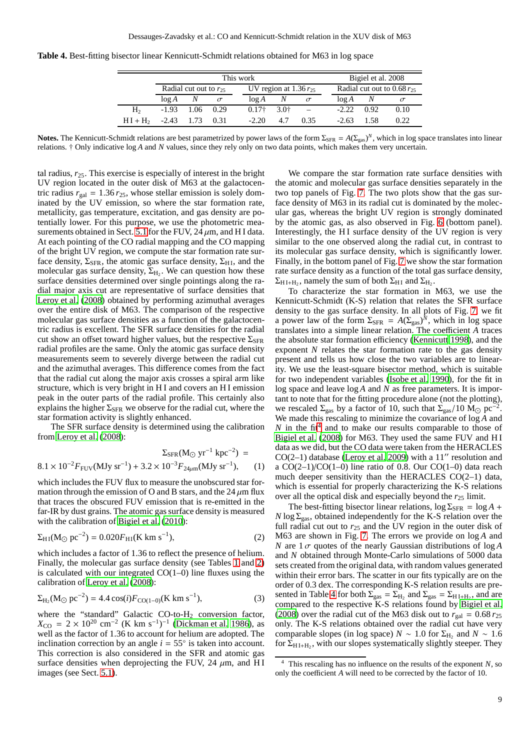|                |                            |                   | This work |                           | Bigiel et al. 2008 |          |                                 |      |      |
|----------------|----------------------------|-------------------|-----------|---------------------------|--------------------|----------|---------------------------------|------|------|
|                | Radial cut out to $r_{25}$ |                   |           | UV region at $1.36r_{25}$ |                    |          | Radial cut out to 0.68 $r_{25}$ |      |      |
|                | $\log A$                   | N                 | $\sigma$  | log A                     |                    | $\sigma$ | $\log A$                        | N    |      |
| H <sub>2</sub> |                            | $-1.93$ 1.06 0.29 |           | $0.17+$                   | 3.0+               |          | $-2.22$                         | 0.92 | 0.10 |
| $HI + H2$      | $-2.43$ 1.73               |                   | 0.31      | $-2.20$                   | 4.7                | 0.35     | $-2.63$                         | 1.58 | 0.22 |

<span id="page-8-3"></span>**Table 4.** Best-fitting bisector linear Kennicutt-Schmidt relations obtained for M63 in log space

**Notes.** The Kennicutt-Schmidt relations are best parametrized by power laws of the form  $\Sigma_{\rm SFR} = A(\Sigma_{\rm gas})^N$ , which in log space translates into linear relations. † Only indicative log *A* and *N* values, since they rely only on two data points, which makes them very uncertain.

tal radius,  $r_{25}$ . This exercise is especially of interest in the bright UV region located in the outer disk of M63 at the galactocentric radius  $r_{\text{gal}} = 1.36 r_{25}$ , whose stellar emission is solely dominated by the UV emission, so where the star formation rate, metallicity, gas temperature, excitation, and gas density are potentially lower. For this purpose, we use the photometric mea-surements obtained in Sect. [5.1](#page-5-3) for the FUV, 24  $\mu$ m, and H I data. At each pointing of the CO radial mapping and the CO mapping of the bright UV region, we compute the star formation rate surface density,  $\Sigma_{\rm SFR}$ , the atomic gas surface density,  $\Sigma_{\rm H1}$ , and the molecular gas surface density,  $\Sigma_{\rm H_2}$ . We can question how these surface densities determined over single pointings along the radial major axis cut are representative of surface densities that [Leroy et al. \(2008](#page-11-28)) obtained by performing azimuthal averages over the entire disk of M63. The comparison of the respective molecular gas surface densities as a function of the galactocentric radius is excellent. The SFR surface densities for the radial cut show an offset toward higher values, but the respective  $\Sigma_{\rm SFR}$ radial profiles are the same. Only the atomic gas surface density measurements seem to severely diverge between the radial cut and the azimuthal averages. This difference comes from the fact that the radial cut along the major axis crosses a spiral arm like structure, which is very bright in HI and covers an HI emission peak in the outer parts of the radial profile. This certainly also explains the higher  $\Sigma_{\rm SFR}$  we observe for the radial cut, where the star formation activity is slightly enhanced.

The SFR surface density is determined using the calibration from [Leroy et al. \(2008](#page-11-28)):

$$
\Sigma_{\rm SFR}(M_{\odot} \text{ yr}^{-1} \text{ kpc}^{-2}) =
$$
  
8.1 × 10<sup>-2</sup>F<sub>FUV</sub>(MJy sr<sup>-1</sup>) + 3.2 × 10<sup>-3</sup>F<sub>24µm</sub>(MJy sr<sup>-1</sup>), (1)

which includes the FUV flux to measure the unobscured star formation through the emission of O and B stars, and the  $24 \mu m$  flux that traces the obscured FUV emission that is re-emitted in the far-IR by dust grains. The atomic gas surface density is measured with the calibration of Bigiel et al.  $(2010)$ :

$$
\Sigma_{\rm H\,I}(M_{\odot}\,\mathrm{pc}^{-2}) = 0.020 F_{\rm H\,I}(K\,\mathrm{km\,s}^{-1}),\tag{2}
$$

which includes a factor of 1.36 to reflect the presence of helium. Finally, the molecular gas surface density (see Tables [1](#page-2-1) and [2\)](#page-3-1) is calculated with our integrated  $CO(1-0)$  line fluxes using the calibration of [Leroy et al. \(2008\)](#page-11-28):

<span id="page-8-1"></span>
$$
\Sigma_{\rm H_2}(M_{\odot} \,\text{pc}^{-2}) = 4.4 \cos(i) F_{\rm CO(1-0)}(\text{K km s}^{-1}),\tag{3}
$$

where the "standard" Galactic CO-to- $H_2$  conversion factor,  $X_{\text{CO}} = 2 \times 10^{20} \text{ cm}^{-2}$  (K km s<sup>-1</sup>)<sup>-1</sup> [\(Dickman et al. 1986\)](#page-11-22), as well as the factor of 1.36 to account for helium are adopted. The inclination correction by an angle  $i = 55^\circ$  is taken into account. This correction is also considered in the SFR and atomic gas surface densities when deprojecting the FUV, 24  $\mu$ m, and HI images (see Sect. [5.1\)](#page-5-3).

We compare the star formation rate surface densities with the atomic and molecular gas surface densities separately in the two top panels of Fig. [7.](#page-9-0) The two plots show that the gas surface density of M63 in its radial cut is dominated by the molecular gas, whereas the bright UV region is strongly dominated by the atomic gas, as also observed in Fig. [6](#page-7-0) (bottom panel). Interestingly, the HI surface density of the UV region is very similar to the one observed along the radial cut, in contrast to its molecular gas surface density, which is significantly lower. Finally, in the bottom panel of Fig. [7](#page-9-0) we show the star formation rate surface density as a function of the total gas surface density,  $\Sigma_{\text{H I} + \text{H}_2}$ , namely the sum of both  $\Sigma_{\text{H I}}$  and  $\Sigma_{\text{H}_2}$ .

To characterize the star formation in M63, we use the Kennicutt-Schmidt (K-S) relation that relates the SFR surface density to the gas surface density. In all plots of Fig. [7,](#page-9-0) we fit a power law of the form  $\Sigma_{\text{SFR}} = A(\Sigma_{\text{gas}})^N$ , which in log space translates into a simple linear relation. The coefficient *A* traces the absolute star formation efficiency [\(Kennicutt 1998\)](#page-11-41), and the exponent *N* relates the star formation rate to the gas density present and tells us how close the two variables are to linearity. We use the least-square bisector method, which is suitable for two independent variables [\(Isobe et al. 1990](#page-11-42)), for the fit in log space and leave log *A* and *N* as free parameters. It is important to note that for the fitting procedure alone (not the plotting), we rescaled  $\Sigma_{\rm gas}$  by a factor of 10, such that  $\Sigma_{\rm gas}/10 \ \rm M_{\odot} \ pc^{-2}$ . We made this rescaling to minimize the covariance of log *A* and  $N$  in the fit<sup>[4](#page-8-2)</sup> and to make our results comparable to those of [Bigiel et al.](#page-11-43) [\(2008\)](#page-11-43) for M63. They used the same FUV and H I data as we did, but the CO data were taken from the HERACLES CO(2–1) database [\(Leroy et al. 2009\)](#page-11-24) with a 11′′ resolution and a  $CO(2-1)/CO(1-0)$  line ratio of 0.8. Our  $CO(1-0)$  data reach much deeper sensitivity than the HERACLES CO(2–1) data, which is essential for properly characterizing the K-S relations over all the optical disk and especially beyond the *r*<sup>25</sup> limit.

<span id="page-8-0"></span>The best-fitting bisector linear relations,  $\log \Sigma_{\rm SFR} = \log A +$  $N \log \Sigma_{\text{gas}}$ , obtained independently for the K-S relation over the full radial cut out to  $r_{25}$  and the UV region in the outer disk of M63 are shown in Fig. [7.](#page-9-0) The errors we provide on log *A* and *N* are  $1\sigma$  quotes of the nearly Gaussian distributions of  $\log A$ and *N* obtained through Monte-Carlo simulations of 5000 data sets created from the original data, with random values generated within their error bars. The scatter in our fits typically are on the order of 0.3 dex. The corresponding K-S relation results are pre-sented in Table [4](#page-8-3) for both  $\Sigma_{\rm gas} = \Sigma_{\rm H_2}$  and  $\Sigma_{\rm gas} = \Sigma_{\rm H I + H_2}$ , and are compared to the respective K-S relations found by [Bigiel et al.](#page-11-43) [\(2008](#page-11-43)) over the radial cut of the M63 disk out to  $r_{\text{gal}} = 0.68 r_{25}$ only. The K-S relations obtained over the radial cut have very comparable slopes (in log space)  $N \sim 1.0$  for  $\Sigma_{\text{H}_2}$  and  $N \sim 1.6$ for  $\Sigma_{\rm H\,I+H_2}$ , with our slopes systematically slightly steeper. They

<span id="page-8-2"></span>This rescaling has no influence on the results of the exponent  $N$ , so only the coefficient *A* will need to be corrected by the factor of 10.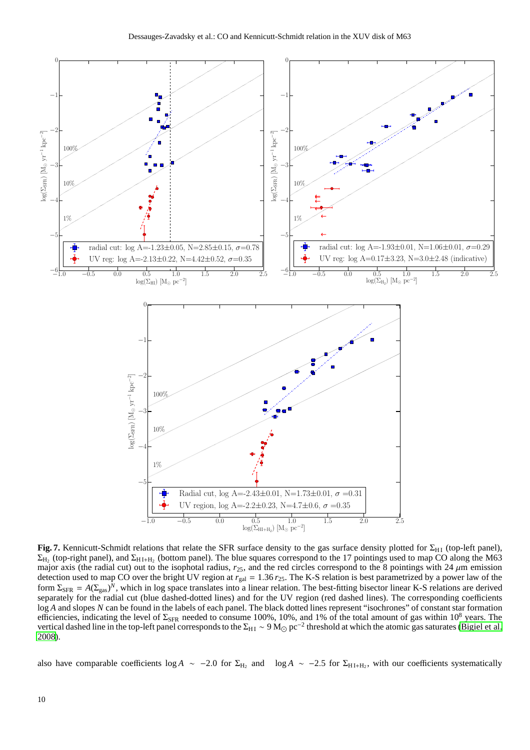

<span id="page-9-0"></span>**Fig. 7.** Kennicutt-Schmidt relations that relate the SFR surface density to the gas surface density plotted for  $\Sigma_{\rm HI}$  (top-left panel),  $\Sigma_{\rm H_2}$  (top-right panel), and  $\Sigma_{\rm H1+H_2}$  (bottom panel). The blue squares correspond to the 17 pointings used to map CO along the M63 major axis (the radial cut) out to the isophotal radius,  $r_{25}$ , and the red circles correspond to the 8 pointings with 24  $\mu$ m emission detection used to map CO over the bright UV region at  $r_{\text{gal}} = 1.36 r_{25}$ . The K-S relation is best parametrized by a power law of the form  $\Sigma_{\rm SFR} = A(\Sigma_{\rm gas})^N$ , which in log space translates into a linear relation. The best-fitting bisector linear K-S relations are derived separately for the radial cut (blue dashed-dotted lines) and for the UV region (red dashed lines). The corresponding coefficients log *A* and slopes *N* can be found in the labels of each panel. The black dotted lines represent "isochrones" of constant star formation efficiencies, indicating the level of  $\Sigma_{\rm SFR}$  needed to consume 100%, 10%, and 1% of the total amount of gas within 10<sup>8</sup> years. The vertical dashed line in the top-left panel corresponds to the  $\Sigma_{\rm HI} \sim 9 \,{\rm M}_\odot \,{\rm pc}^{-2}$  threshold at which the atomic gas saturates [\(Bigiel et al.](#page-11-43) [2008](#page-11-43)).

also have comparable coefficients  $\log A \sim -2.0$  for  $\Sigma_{H_2}$  and  $\log A \sim -2.5$  for  $\Sigma_{H_1+H_2}$ , with our coefficients systematically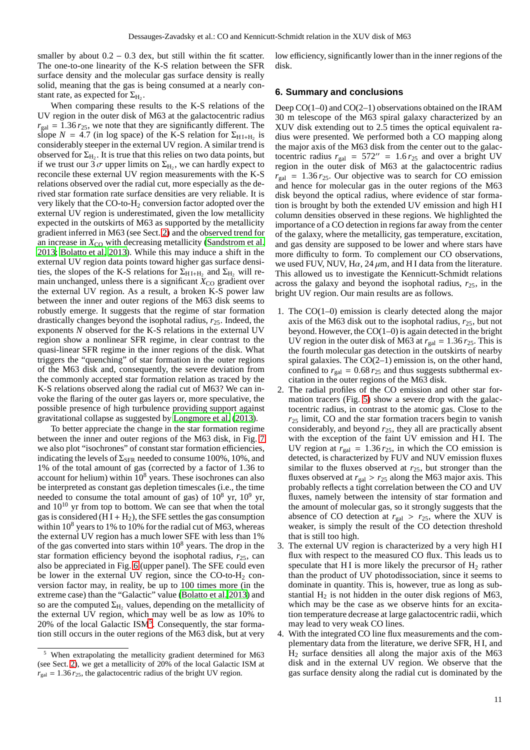smaller by about  $0.2 - 0.3$  dex, but still within the fit scatter. The one-to-one linearity of the K-S relation between the SFR surface density and the molecular gas surface density is really solid, meaning that the gas is being consumed at a nearly constant rate, as expected for  $\Sigma_{\text{H}_2}$ .

When comparing these results to the K-S relations of the UV region in the outer disk of M63 at the galactocentric radius  $r_{\text{gal}} = 1.36 r_{25}$ , we note that they are significantly different. The slope  $N = 4.7$  (in log space) of the K-S relation for  $\Sigma_{\text{H I} + \text{H}_2}$  is considerably steeper in the external UV region. A similar trend is observed for  $\Sigma_{\rm H_2}$ . It is true that this relies on two data points, but if we trust our  $3\sigma$  upper limits on  $\Sigma_{\rm H_2}$ , we can hardly expect to reconcile these external UV region measurements with the K-S relations observed over the radial cut, more especially as the derived star formation rate surface densities are very reliable. It is very likely that the CO-to-H<sup>2</sup> conversion factor adopted over the external UV region is underestimated, given the low metallicity expected in the outskirts of M63 as supported by the metallicity gradient inferred in M63 (see Sect. [2\)](#page-1-0) and the observed trend for an increase in  $X_{\text{CO}}$  with decreasing metallicity [\(Sandstrom et al.](#page-11-40) [2013](#page-11-40); [Bolatto et al. 2013](#page-11-44)). While this may induce a shift in the external UV region data points toward higher gas surface densities, the slopes of the K-S relations for  $\Sigma_{\rm H I+H_2}$  and  $\Sigma_{\rm H_2}$  will remain unchanged, unless there is a significant  $X_{\text{CO}}$  gradient over the external UV region. As a result, a broken K-S power law between the inner and outer regions of the M63 disk seems to robustly emerge. It suggests that the regime of star formation drastically changes beyond the isophotal radius, *r*25. Indeed, the exponents *N* observed for the K-S relations in the external UV region show a nonlinear SFR regime, in clear contrast to the quasi-linear SFR regime in the inner regions of the disk. What triggers the "quenching" of star formation in the outer regions of the M63 disk and, consequently, the severe deviation from the commonly accepted star formation relation as traced by the K-S relations observed along the radial cut of M63? We can invoke the flaring of the outer gas layers or, more speculative, the possible presence of high turbulence providing support against gravitational collapse as suggested by [Longmore et al. \(2013](#page-11-45)).

To better appreciate the change in the star formation regime between the inner and outer regions of the M63 disk, in Fig. [7](#page-9-0) we also plot "isochrones" of constant star formation efficiencies, indicating the levels of  $\Sigma_{\rm SFR}$  needed to consume 100%, 10%, and 1% of the total amount of gas (corrected by a factor of 1.36 to account for helium) within  $10^8$  years. These isochrones can also be interpreted as constant gas depletion timescales (i.e., the time needed to consume the total amount of gas) of  $10^8$  yr,  $10^9$  yr, and  $10^{10}$  yr from top to bottom. We can see that when the total gas is considered  $(H I + H<sub>2</sub>)$ , the SFE settles the gas consumption within  $10^8$  years to 1% to 10% for the radial cut of M63, whereas the external UV region has a much lower SFE with less than 1% of the gas converted into stars within  $10<sup>8</sup>$  years. The drop in the star formation efficiency beyond the isophotal radius, *r*25, can also be appreciated in Fig. [6](#page-7-0) (upper panel). The SFE could even be lower in the external UV region, since the CO-to- $H_2$  conversion factor may, in reality, be up to 100 times more (in the extreme case) than the "Galactic" value [\(Bolatto et al. 2013](#page-11-44)) and so are the computed  $\Sigma_{\rm H_2}$  values, depending on the metallicity of the external UV region, which may well be as low as 10% to 20% of the local Galactic ISM<sup>[5](#page-10-1)</sup>. Consequently, the star formation still occurs in the outer regions of the M63 disk, but at very low efficiency, significantly lower than in the inner regions of the disk.

# <span id="page-10-0"></span>**6. Summary and conclusions**

Deep  $CO(1-0)$  and  $CO(2-1)$  observations obtained on the IRAM 30 m telescope of the M63 spiral galaxy characterized by an XUV disk extending out to 2.5 times the optical equivalent radius were presented. We performed both a CO mapping along the major axis of the M63 disk from the center out to the galactocentric radius  $r_{\text{gal}} = 572'' = 1.6 r_{25}$  and over a bright UV region in the outer disk of M63 at the galactocentric radius  $r_{\text{gal}} = 1.36 r_{25}$ . Our objective was to search for CO emission and hence for molecular gas in the outer regions of the M63 disk beyond the optical radius, where evidence of star formation is brought by both the extended UV emission and high H I column densities observed in these regions. We highlighted the importance of a CO detection in regions far away from the center of the galaxy, where the metallicity, gas temperature, excitation, and gas density are supposed to be lower and where stars have more difficulty to form. To complement our CO observations, we used FUV, NUV, H $\alpha$ , 24  $\mu$ m, and H I data from the literature. This allowed us to investigate the Kennicutt-Schmidt relations across the galaxy and beyond the isophotal radius, *r*25, in the bright UV region. Our main results are as follows.

- 1. The CO(1–0) emission is clearly detected along the major axis of the M63 disk out to the isophotal radius, *r*25, but not beyond. However, the CO(1–0) is again detected in the bright UV region in the outer disk of M63 at  $r_{\text{gal}} = 1.36 r_{25}$ . This is the fourth molecular gas detection in the outskirts of nearby spiral galaxies. The CO(2–1) emission is, on the other hand, confined to  $r_{\text{gal}} = 0.68 r_{25}$  and thus suggests subthermal excitation in the outer regions of the M63 disk.
- 2. The radial profiles of the CO emission and other star formation tracers (Fig. [5\)](#page-6-2) show a severe drop with the galactocentric radius, in contrast to the atomic gas. Close to the *r*<sup>25</sup> limit, CO and the star formation tracers begin to vanish considerably, and beyond  $r_{25}$ , they all are practically absent with the exception of the faint UV emission and H I. The UV region at  $r_{\text{gal}} = 1.36 r_{25}$ , in which the CO emission is detected, is characterized by FUV and NUV emission fluxes similar to the fluxes observed at *r*25, but stronger than the fluxes observed at  $r_{\text{gal}} > r_{25}$  along the M63 major axis. This probably reflects a tight correlation between the CO and UV fluxes, namely between the intensity of star formation and the amount of molecular gas, so it strongly suggests that the absence of CO detection at  $r_{\text{gal}} > r_{25}$ , where the XUV is weaker, is simply the result of the CO detection threshold that is still too high.
- 3. The external UV region is characterized by a very high H I flux with respect to the measured CO flux. This leads us to speculate that HI is more likely the precursor of  $H_2$  rather than the product of UV photodissociation, since it seems to dominate in quantity. This is, however, true as long as substantial  $H_2$  is not hidden in the outer disk regions of M63, which may be the case as we observe hints for an excitation temperature decrease at large galactocentric radii, which may lead to very weak CO lines.
- 4. With the integrated CO line flux measurements and the complementary data from the literature, we derive SFR, H I, and  $H<sub>2</sub>$  surface densities all along the major axis of the M63 disk and in the external UV region. We observe that the gas surface density along the radial cut is dominated by the

<span id="page-10-1"></span><sup>5</sup> When extrapolating the metallicity gradient determined for M63 (see Sect. [2\)](#page-1-0), we get a metallicity of 20% of the local Galactic ISM at  $r_{\text{gal}} = 1.36 r_{25}$ , the galactocentric radius of the bright UV region.